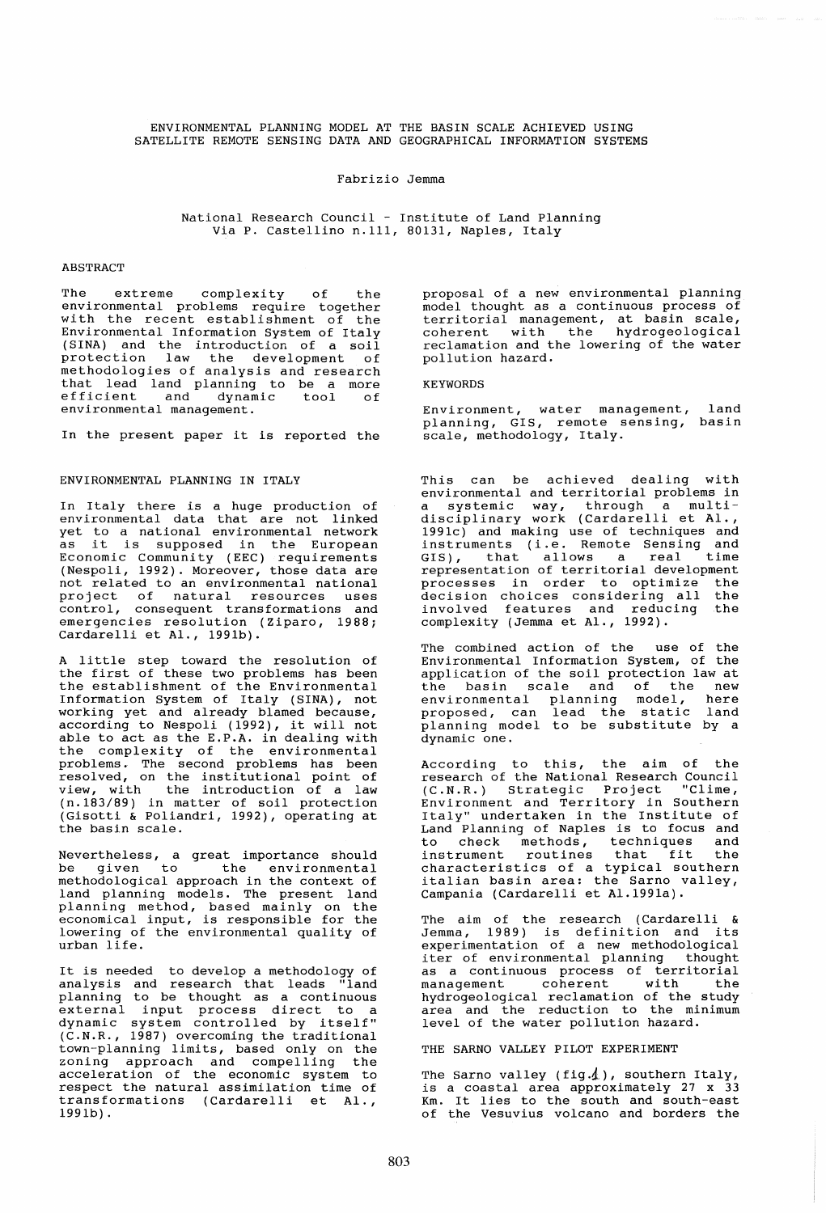ENVIRONMENTAL PLANNING MODEL AT THE BASIN SCALE ACHIEVED USING SATELLITE REMOTE SENSING DATA AND GEOGRAPHICAL INFORMATION SYSTEMS

#### Fabrizio Jemma

National Research Council - Institute of Land Planning Via P. Castellino n.111, 80131, Naples, Italy

#### **ABSTRACT**

The extreme complexity of the environmental problems require together with the recent establishment of the Environmental Information System of Italy (SINA) and the introduction of a soil protection law the development of methodologies of analysis and research methodologies of didlysis did research<br>that lead land planning to be a more<br>efficient and dynamic tool of environmental management.

In the present paper it is reported the

### ENVIRONMENTAL PLANNING IN ITALY

In Italy there is a huge production of environmental data that are not linked yet to a national environmental network as it is supposed in the European as it is supposed in the European<br>Economic Community (EEC) requirements (Nespoli, 1992). Moreover, those data are not related to an environmental national project of natural resources uses control, consequent transformations and emergencies resolution (Ziparo, 1988; Cardarelli et AI., 1991b).

A little step toward the resolution of the first of these two problems has been the establishment of the Environmental Information System of Italy (SINA), not working yet and already blamed because,<br>according to Nespoli (1992), it will not able to act as the E.P.A. in dealing with asse to accuse the situation in actinity with problems. The second problems has been resol ved, on the institutional point of view, with the introduction of a law (n. 183/89) in matter of soil protection (Gisotti & Poliandri, 1992), operating at the basin scale.

Nevertheless, a great importance should hovereneressy a great importance should methodological approach in the context of land planning models. The present land planning method, based mainly on the economical input, is responsible for the lowering of the environmental quality of urban life.

It is needed to develop a methodology of analysis and research that leads "land planning to be thought as a continuous external input process direct to a dynamic system controlled by itself"  $(CMR, R, 1987)$  overcoming the traditional town-planning limits, based only on the zoning approach and compelling the acceleration of the economic system to respect the natural assimilation time of transformations (Cardarelli et AI., 1991b) .

proposal of a new environmental planning model thought as a continuous process of territorial management, at basin scale, coherent with the hydrogeological reclamation and the lowering of the water pollution hazard.

#### KEYWORDS

Environment, water management, land planning, GIS, remote sensing, basin scale, methodology, Italy.

This can be achieved dealing with<br>environmental and territorial problems in environmental and territorial problems in<br>a systemic way, through a multidisciplinary work (Cardarelli et AI., 1991c) and making use of techniques and issic, and making use of techniques and<br>instruments (i.e. Remote Sensing and GIS), that allows a real time representation of territorial development processes in order to optimize the processes in order to optimize the<br>decision choices considering all the involved features and reducing the complexity (Jernma et AI., 1992).

The combined action of the use of the Environmental Information System, of the application of the soil protection law at the basin scale and of the new environmental planning model, here proposed, can lead the static land ploposed, can fead one source fand<br>planning model to be substitute by a<br>dynamic one.

According to this, the aim of the research of the National Research Council (C.N.R.) Strategic Project "Clime, Environment and Territory in Southern Environment and iciticory in Southern<br>Italy" undertaken in the Institute of Land Planning of Naples is to focus and to check methods, techniques and instrument routines that fit the characteristics of a typical southern italian basin area: the Sarno valley, Campania (Cardarelli et AI.1991a).

The aim of the research (Cardarelli & Jemma, 1989) is definition and its experimentation of a new methodological iter of environmental planning thought as a continuous process of territorial as a continuous process of territorial<br>management coherent with the<br>hydrogeological reclamation of the study hydrogeological reclamation of the study area and the reduction to the minimum level of the water pollution hazard.

THE SARNO VALLEY PILOT EXPERIMENT

The Sarno valley (fig. $\Lambda$ ), southern Italy, is a coastal area approximately 27 x 33 Km. It lies to the south and south-east of the Vesuvius volcano and borders the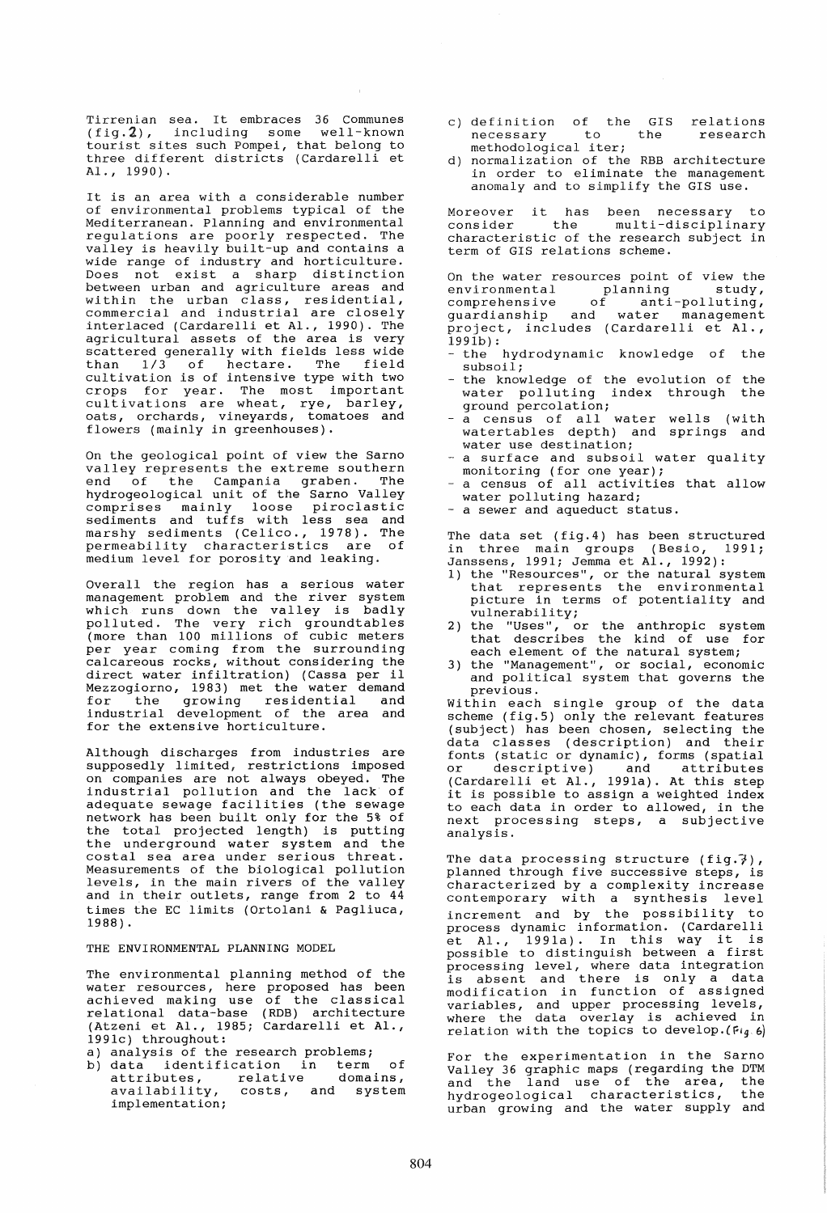Tirrenian sea. It embraces 36 Communes (fig.2), including some well-known tourist sites such Pompei, that belong to three different districts (Cardarelli et AI., 1990).

It is an area with a considerable number of environmental problems typical of the Mediterranean. Planning and environmental regulations are poorly respected. The valley is heavily built-up and contains a wide range of industry and horticulture. wide range of industry and horticulture.<br>Does not exist a sharp distinction between urban and agriculture areas and between urban and agriculture dieds and<br>within the urban class, residential, commercial and industrial are closely interlaced (Cardarelli et AI., 1990). The agricultural assets of the area is very scattered generally with fields less wide<br>than 1/3 of hectare. The field  $1/3$  of hectare. The field cultivation is of intensive type with two crops for year. The most important cultivations are wheat, rye, barley, oats, orchards, vineyards, tomatoes and flowers (mainly in greenhouses).

On the geological point of view the Sarno valley represents the extreme southern end of the Campania graben. The hydrogeological unit of the Sarno Valley comprises mainly loose piroclastic sediments and tuffs with less sea and marshy sediments (Celico., 1978). The permeability characteristics are of medium level for porosity and leaking.

Overall the region has a serious water management problem and the river system which runs down the valley is badly which runs down the varity is badiy (more than 100 millions of cubic meters per year coming from the surrounding calcareous rocks, without considering the direct water infiltration) (Cassa per il Mezzogiorno, 1983) met the water demand for the growing residential and industrial development of the area and for the extensive horticulture.

Al though discharges from industries are supposedly limited, restrictions imposed on companies are not always obeyed. The industrial pollution and the lack of adequate sewage facilities (the sewage network has been built only for the 5% of the total projected length) is putting the underground water system and the costal sea area under serious threat. Measurements of the biological pollution levels, in the main rivers of the valley and in their outlets, range from 2 to 44 times the EC limits (Ortolani & Pagliuca, 1988) .

THE ENVIRONMENTAL PLANNING MODEL

The environmental planning method of the water resources, here proposed has been water resources, here proposed has been<br>achieved making use of the classical relational data-base (RDB) architecture (Atzeni et AI., 1985; Cardarelli et AI., 1991c) throughout:

- a) analysis of the research problems;
- a) dharysis of the research problems,<br>b) data identification in term of attributes, relative domains, attributes, relative domains,<br>availability, costs, and system implementation;
- c) definition of the GIS relations necessary to methodological iter; the research
- d) normalization of the RBB architecture in order to eliminate the management anomaly and to simplify the GIS use.

Moreover it has been necessary to<br>consider the multi-disciplinary multi-disciplinary characteristic of the research subject in term of GIS relations scheme.

On the water resources point of view the<br>environmental planning study. environmental planning<br>comprehensive of anti of anti-polluting,<br>d water management guardianship and project, includes (Cardarelli et AI. *,*   $199Ib$ :

- the hydrodynamic knowledge of the subsoil;
- the knowledge of the evolution of the water polluting index through the<br>ground percolation;
- a census of all water wells (with watertables depth) and springs and<br>water use destination;
- a surface and subsoil water quality
- monitoring (for one year);<br>- a census of all activities that allow<br>water polluting hazard;
- a sewer and aqueduct status.

The data set (fig.4) has been structured in three main groups (Besio, 1991; Janssens, 1991; Jemma et AI., 1992):

- 1) the "Resources", or the natural system that represents the environmental picture in terms of potentiality and
- vulnerability;<br>2) the "Uses", o 2) the "Uses", or the anthropic system that describes the kind of use for each element of the natural system;
- 3) the "Management", or social, economic and political system that governs the previous.

Within each single group of the data scheme (fig.5) only the relevant features (subject) has been chosen, selecting the data classes (description) and their fonts (static or dynamic), forms (spatial<br>or descriptive) and attributes or descriptive) and attributes (Cardarelli et AI., 1991a). At this step it is possible to assign a weighted index to each data in order to allowed, in the next processing steps, a subjective analysis.

The data processing structure (fig. $\vec{i}$ ), planned through five successive steps, is characterized by a complexity increase contemporary with a synthesis level increment and by the possibility to process dynamic information. (Cardarelli et AI., 1991a). In this way it is possible to distinguish between a first processing level, where data integration processing rever, where data incegration<br>is absent and there is only a data modification in function of assigned<br>wariables, and upper processing levels, variables, and upper processing revers, relation with the topics to develop. (Fig. 6)

For the experimentation in the Sarno Valley 36 graphic maps (regarding the DTM and the land use of the area, the<br>hydrogeological characteristics, the hydrogeological characteristics, urban growing and the water supply and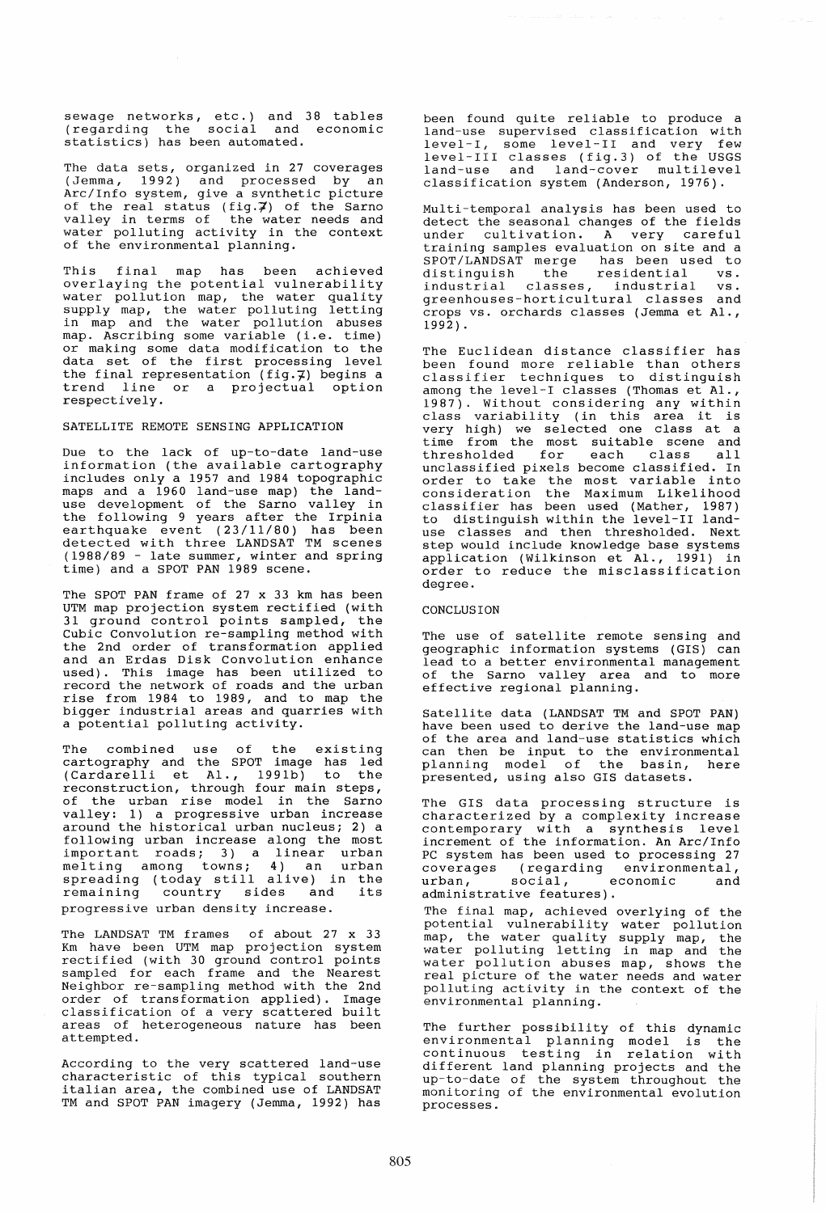sewage networks, etc.) and 38 tables (regarding the social and economic statistics) has been automated.

The data sets, organized in 27 coverages (Jemma, 1992) and processed by an Arc/Info system, give a sYnthetic picture of the real status  $(fig.\vec{z})$  of the Sarno valley in terms of the water needs and water polluting activity in the context of the environmental planning.

This final map has been achieved overlaying the potential vulnerability water pollution map, the water quality xxxxx points. The water polluting letting in map and the water pollution abuses map. Ascribing some variable (i.e. time) or making some data modification to the data set of the first processing level the final representation (fig.7) begins a trend line or a projectual option respectively.

## SATELLITE REMOTE SENSING APPLICATION

Due to the lack of up-to-date land-use information (the available cartography includes only a 1957 and 1984 topographic maps and a 1960 land-use map) the land-<br>use development of the Sarno valley in the following 9 years after the Irpinia earthquake event (23/11/80) has been detected with three LANDSAT TM scenes (1988/89 - late summer, winter and spring (1988/89 - late summer, winter and spring<br>time) and a SPOT PAN 1989 scene.

The SPOT PAN frame of 27 x 33 km has been UTM map projection system rectified (with 31 ground control points sampled, the Cubic Convolution re-sampling method with the 2nd order of transformation applied and an Erdas Disk Convolution enhance used). This image has been utilized to record the network of roads and the urban rise from 1984 to 1989, and to map the bigger industrial areas and quarries with a potential polluting activity.

The combined use of the existing cartography and the SPOT image has led (Cardarelli et AI., 1991b) to the reconstruction, through four main steps, of the urban rise model in the Sarno valley: 1) a progressive urban increase around the historical urban nucleus; 2) a following urban increase along the most important roads; 3) a linear urban melting among towns; 4) an urban spreading (today still alive) in the spreading (coday scill alive) in the<br>remaining country sides and its progressive urban density increase.

The LANDSAT TM frames of about 27 x 33 Km have been UTM map projection system rectified (with 30 ground control points sampled for each frame and the Nearest Neighbor re-sampling method with the 2nd order of transformation applied). Image classification of a very scattered built areas of heterogeneous nature has been attempted.

According to the very scattered land-use characteristic of this typical southern italian area, the combined use of LANDSAT TM and SPOT PAN imagery (Jemma, 1992) has been found quite reliable to produce a land-use supervised classification with level-I, some level-II and very few level-III classes (fig.3) of the USGS land-use and land-cover multilevel classification system (Anderson, 1976).

Multi-temporal analysis has been used to detect the seasonal changes of the fields under cUltivation. A very careful training samples evaluation on site and a<br>SPOT/LANDSAT merge has been used to<br>distinguish the residential vs. industrial classes, industrial vs.<br>greenhouses-horticultural classes and crops vs. orchards classes (Jemma et AI., 1992) .

The Euclidean distance classifier has been found more reliable than others classifier techniques to distinguish among the level-I classes (Thomas et AI., 1987). Without considering any within class variability (in this area it is very high) we selected one class at a<br>time from the most suitable scene and thresholded for each class all unclassified pixels become classified. In order to take the most variable into consideration the Maximum Likelihood consideration the naximum Einerinood<br>classifier has been used (Mather, 1987) to distinguish within the level-II land- use classes and then thresholded. Next step would include knowledge base systems application (Wilkinson et Al., 1991) in order to reduce the misclassification degree.

### CONCLUSION

The use of satellite remote sensing and geographic information systems (GIS) can lead to a better environmental management of the Sarno valley area and to more effective regional planning.

Satellite data (LANDSAT TM and SPOT PAN) have been used to derive the land-use map nave been used to defive the fund use map<br>of the area and land-use statistics which<br>can then be input to the environmental planning model of the basin, here presented, using also GIS datasets.

The GIS data processing structure is characterized by a complexity increase contemporary with a synthesis level increment of the information. An Arc/Info PC system has been used to processing 27 coverages (regarding environmental, urban, social, economic and urban, social, economic<br>administrative features).

The final map, achieved overlying of the potential vulnerability water pollution map, the water quality supply map, the water polluting letting in map and the water pollution abuses map, shows the real picture of the water needs and water polluting activity in the context of the environmental planning.

The further possibility of this dynamic environmental planning model is the continuous testing in relation with different land planning projects and the up-to-date of the system throughout the monitoring of the environmental evolution processes.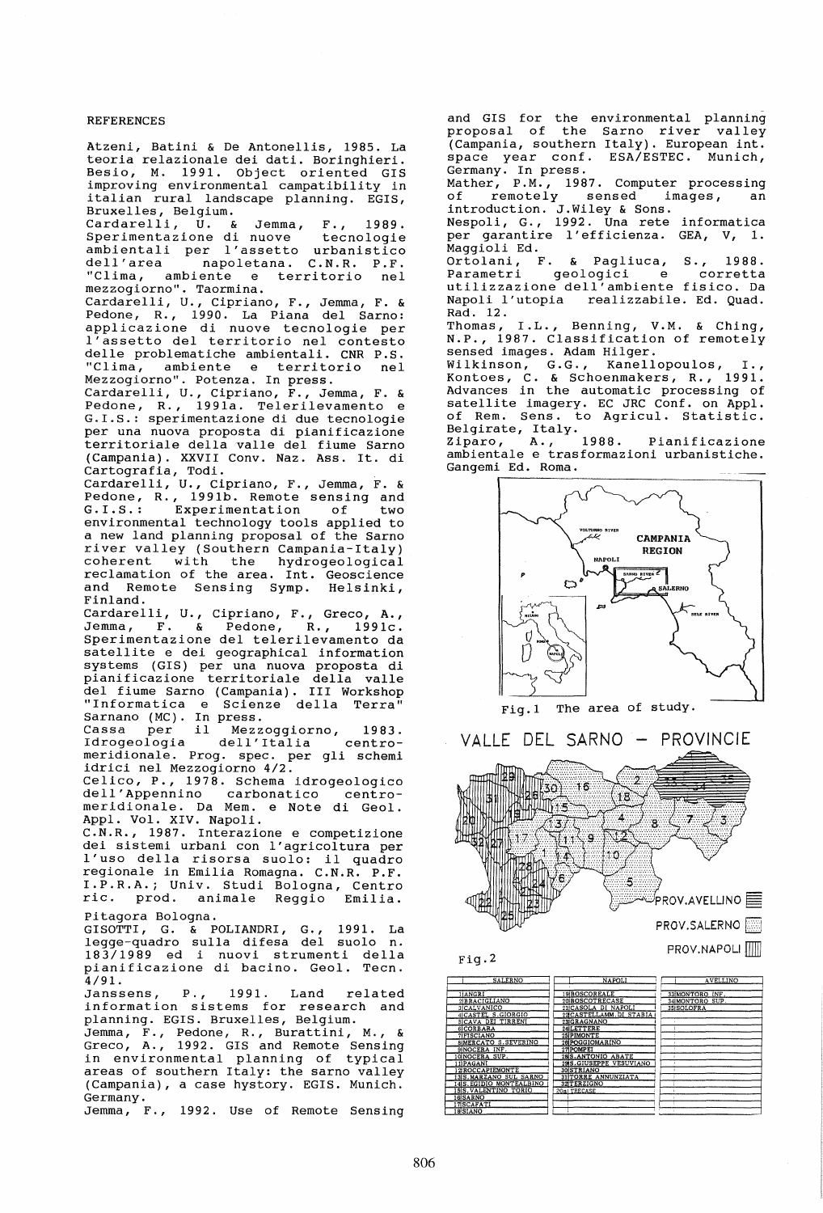### REFERENCES

Atzeni, Batini & De Antonellis, 1985. La teoria relazionale *dei* dati. Boringhieri. *Besio,* M. 1991. Object oriented GIS improving environmental campatibility in italian rural landscape planning. EGIS, Bruxelles, Belgium.

Cardarelli, U. & Jemma, F., 1989. Sperimentazione *di* nuove tecnologie ambientali per l'assetto urbanistico dell'area inapoletana. C.N.R. P.F. dell'area mapoletana. C.N.R. P.F.<br>"Clima, ambiente e territorio nel mezzogiorno". Taormina.

Cardarelli, U., Cipriano, F., Jemma, F. & Pedone, R., 1990. La Piana del Sarno: applicazione *di* nuove tecnologie per l'assetto del territorio nel contesto delle problematiche ambientali. CNR P.S. "Clima, ambiente e territorio nel Mezzogiorno". Potenza. In press.

Cardarelli, U., Cipriano, F., Jemma, F. &<br>Pedone, R., 1991a. Telerilevamento e Pedone, R., 1991a. Telerilevamento e G.I.S.: sperimentazione *di* due tecnologie per una nuova proposta *di* pianificazione territoriale della valle del fiume Sarno (Campania). XXVII Conv. Naz. Ass. It. *di*  Cartografia, Todi.

Cardarelli, U., Cipriano, F., Jemma, F. & Pedone, R., 1991b. Remote sensing and G.I.S.: Experimentation of two environmental technology tools applied to a new land planning proposal of the Sarno river valley (Southern Campania-Italy) coherent with the hydrogeological reclamation of the area. Int. Geoscience and Remote Sensing Symp. Helsinki, Finland.

..........<br>Cardarelli, U., Cipriano, F., Greco, A., Jemma, F. & Pedone, R., 1991c. Sperimentazione del telerilevamento da satellite e *dei* geographical information systems (GIS) per una nuova proposta *di*  pianificazione territoriale della valle del fiume Sarno (Campania). III Workshop "Informatica e Scienze della Terra" Sarnano (MC). In press.

Cassa per *il* Mezzoggiorno, 1983. Idrogeologia dell'Italia centromeridionale. Prog. spec. per gli schemi *idrici* nel Mezzogiorno 4/2.

*Celico,* P., 1978. Schema idrogeologico dell'Appennino carbonatico centro- mer *idi* onale. Da Mem. e Note *di* Geol. Appl. Vol. XIV. Napoli.

C.N.R., 1987. Interazione e competizione *dei* sistemi urbani con l'agricoltura per l'uso della risorsa suolo: *il* quadro regionale in Emilia Romagna. C.N.R. P.F. I.P.R.A.; Univ. Studi Bologna, Centro *ric.* prod. animale Reggio Emilia.

# Pitagora Bologna.

GISOTTI, G. & POLIANDRI, G., 1991. La legge-quadro sulla difesa del suolo n. 183/1989 ed i nuovi strumenti della pianificazione *di* bacino. Geol. Tecn. 4/91.

Janssens, P., 1991. Land related information sistems for research and planning. EGIS. Bruxelles, Belgium.

Jemma, F., Pedone, R., Burattini, M., & Greco, A., 1992. GIS and Remote Sensing in environmental planning of typical areas of southern Italy: the sarno valley (Campania), a case hystory. EGIS. Munich. Germany.

Jemma, F., 1992. Use of Remote Sensing

and GIS for the environmental planning proposal of the Sarno river valley (Campania, southern Italy). European int. space year conf. ESA/ESTEC. Munich, Germany. In press.

Mather, P.M., 1987. Computer processing of remotely sensed images, an introduction. J.Wiley & Sons.

Nespoli, G., 1992. Una rete informatica per garantire l'efficienza. GEA, V, 1. Maggioli Ed.

Ortolani, F. & Pagliuca, S., 1988. geologici e utilizzazione dell'ambiente fisico. Da<br>Napoli l'utopia *realizzabile. Ed. Quad.* realizzabile. Ed. Quad. Rad. 12.

Thomas, I.L., Benning, V.M. & Ching, N.P., 1987. Classification of remotely sensed images. Adam Hilger.

sensed images. Adam hiiger.<br>Wilkinson, G.G., Kanellopoulos, I., Kontoes, C. & Schoenmakers, R., 1991. Advances in the automatic processing of satellite imagery. EC JRC Conf. on Appl. of Rem. Sens. to Agricul. Statistic. Belgirate, Italy.<br>Ziparo, A., 1988.

Ziparo, A., 1988. Pianificazione ambientale e trasformazioni urbanistiche. Gangemi Ed. Roma.



Fig.1 The area of study.

VALLE DEL SARNO – PROVINCIE  $\sim$  ,-compared to  $\sim$ j<br>1 -9 16  $18$ Մ15  $\overline{\mathbf{4}}$ (lf Ä  $\overline{\textbf{A}}$  $\mathbb{Z}$ ä  $\bigvee$ O. :; 5 1l::~:)T .d11i1 [tJf ~ <sup>0</sup>  $\overline{P}$ ROV.AVELLINO  $\equiv$ PROV.SALERNO PROV.NAPOLI

Fig.2

| <b>SALERNO</b>                                   | <b>NAPOLI</b>                                  | <b>AVELLINO</b>               |
|--------------------------------------------------|------------------------------------------------|-------------------------------|
| 11ANGRI                                          | 19 BOSCOREALE                                  | 33 MONTORO INF.               |
| 2BRACIGLIANO<br>3 CALVANICO                      | 20 BOSCOTRECASE<br>21 CASOLA DI NAPOLI         | 34IMONTORO SUP.<br>35ISOLOFRA |
| 4 CASTEL S. GIORGIO<br>SICAVA DEI TIRRENI        | 22CASTELLAMM.DI STABIA<br>23GRAGNANO           |                               |
| <b>6CORBARA</b><br>7 FISCIANO                    | 24 LETTERE<br>25 PIMONTE                       |                               |
| <b>SIMERCATO S.SEVERINO</b><br>9 NOCERA INF.     | 26 POGGIOMARINO<br>27 POMPEI                   |                               |
| <b>IOINOCERA SUP.</b><br>11 PAGANI               | 28 S.ANTONIO ABATE<br>29 S. GIUSEPPE VESUVIANO |                               |
| 12 ROCCAPIEMONTE<br>13 S. MARZANO SUL SARNO      | 30ISTRIANO<br>31 TORRE ANNUNZIATA              |                               |
| 14 S. EGIDIO MONTEALBINO<br>ISIS.VALENTINO TORIO | 32 TERZIGNO<br>20al TRECASE                    |                               |
| 16 SARNO<br>17 SCAFATI                           |                                                |                               |
| <b>18 SIANO</b>                                  |                                                |                               |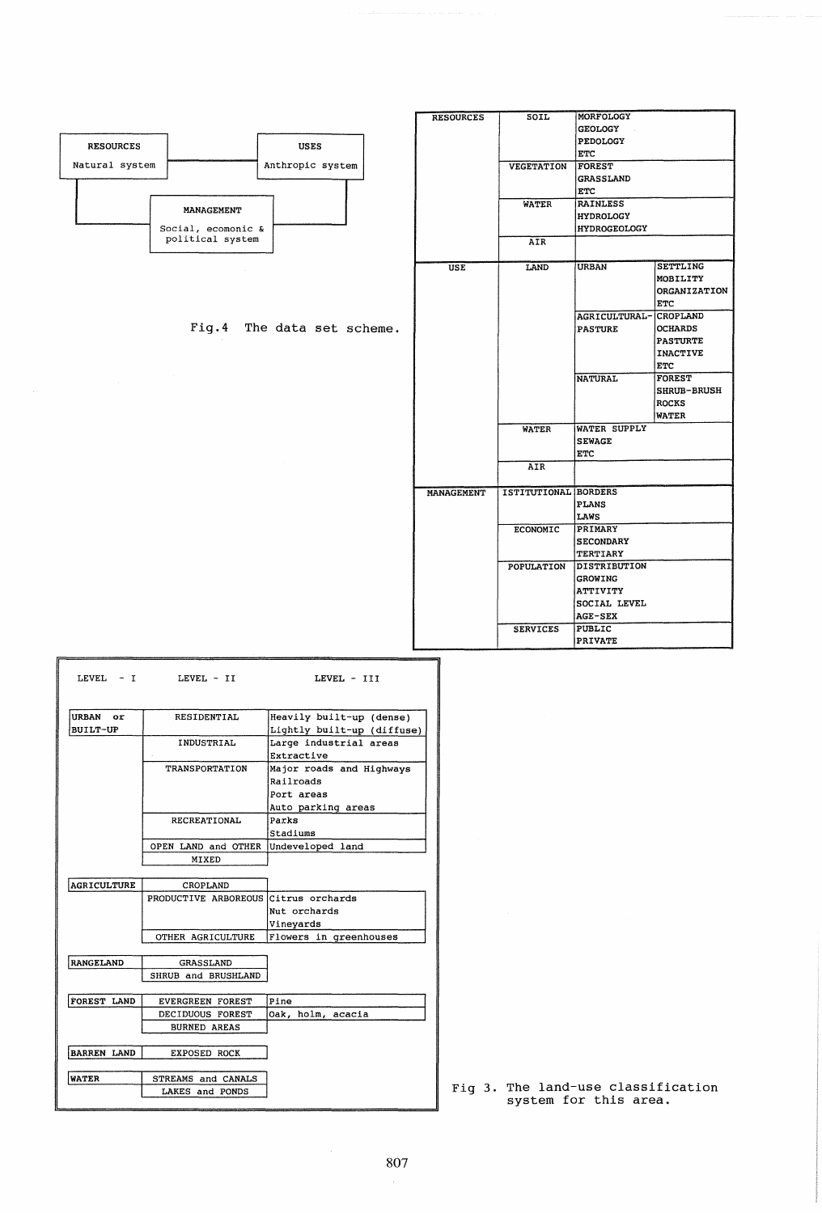|                                    | <b>RESOURCES</b>  | SOIL                 | MORFOLOGY<br><b>GEOLOGY</b> |                            |
|------------------------------------|-------------------|----------------------|-----------------------------|----------------------------|
|                                    |                   |                      | PEDOLOGY                    |                            |
| <b>RESOURCES</b><br><b>USES</b>    |                   |                      | <b>ETC</b>                  |                            |
| Anthropic system<br>Natural system |                   | VEGETATION           | <b>FOREST</b>               |                            |
|                                    |                   |                      | <b>GRASSLAND</b>            |                            |
|                                    |                   |                      | <b>ETC</b>                  |                            |
|                                    |                   | <b>WATER</b>         | <b>RAINLESS</b>             |                            |
| <b>MANAGEMENT</b>                  |                   |                      | <b>HYDROLOGY</b>            |                            |
| Social, ecomonic &                 |                   |                      | <b>HYDROGEOLOGY</b>         |                            |
| political system                   |                   | AIR                  |                             |                            |
|                                    |                   |                      |                             |                            |
|                                    | <b>USE</b>        | LAND                 | <b>URBAN</b>                | <b>SETTLING</b>            |
|                                    |                   |                      |                             | MOBILITY                   |
|                                    |                   |                      |                             | ORGANIZATION<br><b>ETC</b> |
|                                    |                   |                      | AGRICULTURAL-               | CROPLAND                   |
| Fig. 4 The data set scheme.        |                   |                      | <b>PASTURE</b>              | <b>OCHARDS</b>             |
|                                    |                   |                      |                             | <b>PASTURTE</b>            |
|                                    |                   |                      |                             | <b>INACTIVE</b>            |
|                                    |                   |                      |                             | ETC                        |
|                                    |                   |                      | <b>NATURAL</b>              | <b>FOREST</b>              |
|                                    |                   |                      |                             | <b>SHRUB-BRUSH</b>         |
|                                    |                   |                      |                             | <b>ROCKS</b>               |
|                                    |                   |                      |                             | <b>WATER</b>               |
|                                    |                   | <b>WATER</b>         | <b>WATER SUPPLY</b>         |                            |
|                                    |                   |                      | <b>SEWAGE</b>               |                            |
|                                    |                   |                      | ETC                         |                            |
|                                    |                   | AIR                  |                             |                            |
|                                    | <b>MANAGEMENT</b> | ISTITUTIONAL BORDERS |                             |                            |
|                                    |                   |                      | <b>PLANS</b>                |                            |
|                                    |                   |                      | LAWS                        |                            |
|                                    |                   | <b>ECONOMIC</b>      | PRIMARY                     |                            |
|                                    |                   |                      | <b>SECONDARY</b>            |                            |
|                                    |                   |                      | TERTIARY                    |                            |
|                                    |                   | POPULATION           | DISTRIBUTION                |                            |
|                                    |                   |                      | <b>GROWING</b>              |                            |
|                                    |                   |                      | <b>ATTIVITY</b>             |                            |
|                                    |                   |                      | SOCIAL LEVEL                |                            |
|                                    |                   |                      | AGE-SEX                     |                            |
|                                    |                   | <b>SERVICES</b>      | PUBLIC                      |                            |
|                                    |                   |                      | <b>PRIVATE</b>              |                            |

| <b>URBAN</b><br>$\alpha r$ | <b>RESIDENTIAL</b>                   | Heavily built-up (dense)    |  |  |
|----------------------------|--------------------------------------|-----------------------------|--|--|
| BUILT-UP                   |                                      | Lightly built-up (diffuse)  |  |  |
|                            | INDUSTRIAL                           | Large industrial areas      |  |  |
|                            |                                      | Extractive                  |  |  |
|                            | TRANSPORTATION                       | Major roads and Highways    |  |  |
|                            |                                      | Railroads                   |  |  |
|                            |                                      | Port areas                  |  |  |
|                            |                                      |                             |  |  |
|                            | <b>RECREATIONAL</b>                  | Auto parking areas<br>Parks |  |  |
|                            |                                      |                             |  |  |
|                            |                                      | Stadiums                    |  |  |
|                            | OPEN LAND and OTHER                  | Undeveloped land            |  |  |
|                            | MIXED                                |                             |  |  |
|                            |                                      |                             |  |  |
| <b>AGRICULTURE</b>         | CROPLAND                             |                             |  |  |
|                            | PRODUCTIVE ARBOREOUS Citrus orchards |                             |  |  |
|                            |                                      | Nut orchards                |  |  |
|                            |                                      | Vineyards                   |  |  |
|                            | OTHER AGRICULTURE                    | Flowers in greenhouses      |  |  |
| <b>RANGELAND</b>           | <b>GRASSLAND</b>                     |                             |  |  |
|                            | SHRUB and BRUSHLAND                  |                             |  |  |
|                            |                                      |                             |  |  |
| FOREST LAND                | <b>EVERGREEN FOREST</b>              | Pine                        |  |  |
|                            | DECIDUOUS FOREST                     | Oak, holm, acacia           |  |  |
|                            | <b>BURNED AREAS</b>                  |                             |  |  |
| <b>BARREN LAND</b>         | <b>EXPOSED ROCK</b>                  |                             |  |  |
| <b>WATER</b>               | STREAMS and CANALS                   |                             |  |  |
|                            | LAKES and PONDS                      |                             |  |  |

Fig 3. The land-use classification system for this area.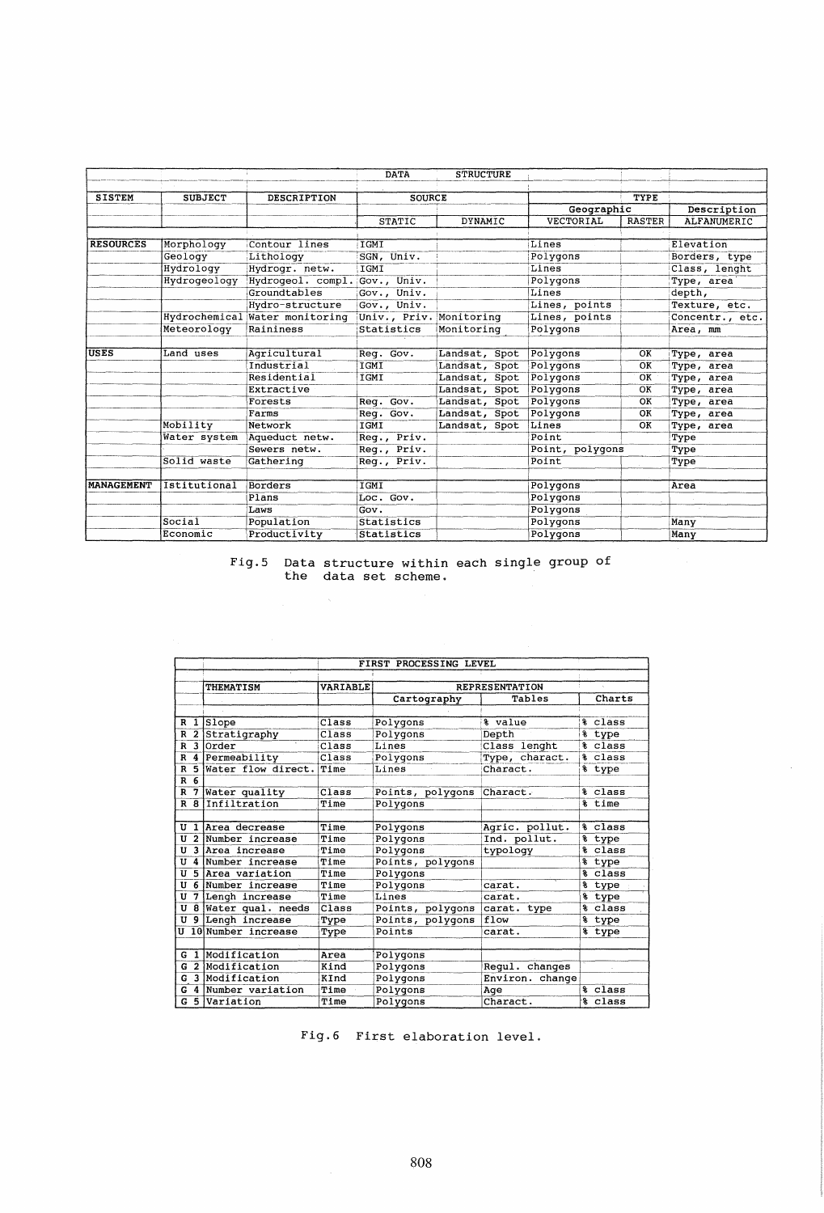|                   |                |                                | <b>DATA</b>             | <b>STRUCTURE</b> |                  |               |                 |
|-------------------|----------------|--------------------------------|-------------------------|------------------|------------------|---------------|-----------------|
| <b>SISTEM</b>     | <b>SUBJECT</b> | <b>DESCRIPTION</b>             | <b>SOURCE</b>           |                  |                  | TYPE          |                 |
|                   |                |                                |                         |                  | Geographic       |               | Description     |
|                   |                |                                | <b>STATIC</b>           | <b>DYNAMIC</b>   | <b>VECTORIAL</b> | <b>RASTER</b> | ALFANUMERIC     |
| <b>RESOURCES</b>  | Morphology     | Contour lines                  | IGMI                    |                  | Lines            |               | Elevation       |
|                   | Geology        | Lithology                      | SGN, Univ.              |                  | Polygons         |               | Borders, type   |
|                   | Hydrology      | Hydrogr. netw.                 | IGMI                    |                  | Lines            |               | Class, lenght   |
|                   | Hydrogeology   | Hydrogeol. compl. Gov., Univ.  |                         |                  | Polygons         |               | Type, area      |
|                   |                | Groundtables                   | Gov., Univ.             |                  | Lines            |               | depth,          |
|                   |                | Hydro-structure                | Gov., Univ.             |                  | Lines, points    |               | Texture, etc.   |
|                   |                | Hydrochemical Water monitoring | Univ., Priv. Monitoring |                  | Lines, points    |               | Concentr., etc. |
|                   | Meteorology    | Raininess                      | Statistics              | Monitoring       | Polygons         |               | Area, mm        |
| <b>USES</b>       | Land uses      | Agricultural                   | Req. Gov.               | Landsat, Spot    | Polygons         | OK            | Type, area      |
|                   |                | Industrial                     | <b>IGMI</b>             | Landsat, Spot    | Polygons         | OK            | Type, area      |
|                   |                | Residential                    | IGMI                    | Landsat, Spot    | Polygons         | OK            | Type, area      |
|                   |                | Extractive                     |                         | Landsat, Spot    | Polygons         | OK            | Type, area      |
|                   |                | Forests                        | Req. Gov.               | Landsat, Spot    | Polygons         | OK            | Type, area      |
|                   |                | Farms                          | Req. Gov.               | Landsat, Spot    | Polygons         | OK            | Type, area      |
|                   | Mobility       | Network                        | IGMI                    | Landsat, Spot    | Lines            | OK            | Type, area      |
|                   | Water system   | Aqueduct netw.                 | Req., Priv.             |                  | Point            |               | Type            |
|                   |                | Sewers netw.                   | Req., Priv.             |                  | Point, polygons  |               | Type            |
|                   | Solid waste    | Gathering                      | Req., Priv.             |                  | Point            |               | Type            |
| <b>MANAGEMENT</b> | Istitutional   | Borders                        | IGMI                    |                  | Polygons         |               | Area            |
|                   |                | Plans                          | Loc. Gov.               |                  | Polygons         |               |                 |
|                   |                | Laws                           | Gov.                    |                  | Polygons         |               |                 |
|                   | Socia1         | Population                     | Statistics              |                  | Polygons         |               | Many            |
|                   | Economic       | Productivity                   | Statistics              |                  | Polygons         |               | Many            |
|                   |                |                                |                         |                  |                  |               |                 |

# Fig.S Data structure within each single group of the data set scheme.

|                     | FIRST PROCESSING LEVEL |          |                  |                       |             |
|---------------------|------------------------|----------|------------------|-----------------------|-------------|
|                     |                        |          |                  |                       |             |
|                     | THEMATISM              | VARIABLE |                  | <b>REPRESENTATION</b> |             |
|                     |                        |          | Cartography      | Tables                | Charts      |
|                     |                        |          |                  |                       |             |
| 1<br>R              | Slope                  | Class    | Polygons         | % value               | % class     |
| $\overline{2}$<br>R | Stratigraphy           | Class    | Polygons         | Depth                 | % type      |
| 3<br>R              | Order                  | Class    | Lines            | Class lenght          | % class     |
| 4<br>R              | Permeability           | Class    | Polygons         | Type, charact.        | % class     |
| 5<br>R              | Water flow direct.     | Time     | Lines            | Charact.              | % type      |
| 6<br>R              |                        |          |                  |                       |             |
| 7<br>R              | <b>Water</b> quality   | Class    | Points, polygons | Charact.              | % class     |
|                     | R 8 Infiltration       | Time     | Polvgons         |                       | % time      |
|                     |                        |          |                  |                       |             |
| U<br>1              | Area decrease          | Time     | Polygons         | Agric. pollut.        | class<br>℁  |
| $\overline{2}$<br>U | Number increase        | Time     | Polygons         | Ind. pollut.          | % type      |
| 3<br>U              | Area increase          | Time     | Polygons         | typology              | % class     |
| U                   | 4 Number increase      | Time     | Points, polygons |                       | % type      |
| 5<br>U              | Area variation         | Time     | Polygons         |                       | class<br>ቘ  |
| U                   | 6 Number increase      | Time     | Polygons         | carat.                | type        |
| U                   | 7 Lengh increase       | Time     | Lines            | carat.                | type<br>¥   |
| U                   | 8 Water qual. needs    | Class    | Points, polygons | carat. type           | % class     |
| U                   | 9 Lengh increase       | Type     | Points, polygons | flow                  | % type      |
|                     | U 10 Number increase   | Type     | Points           | carat.                | % type      |
|                     |                        |          |                  |                       |             |
| G<br>$\mathbf{a}$   | Modification           | Area     | Polygons         |                       |             |
| G                   | 2 Modification         | Kind     | Polygons         | Regul. changes        |             |
| G                   | 3 Modification         | KInd     | Polygons         | Environ. change       |             |
| 4<br>G              | Number variation       | Time     | Polygons         | Age                   | class<br>g. |
| 5<br>G              | Variation              | Time     | Polygons         | Charact.              | class<br>头  |

Fig.6 First elaboration level.